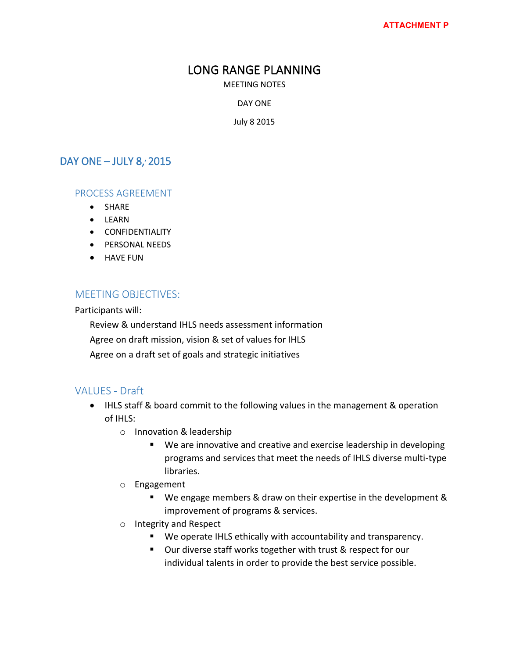## LONG RANGE PLANNING

MEETING NOTES

DAY ONE

July 8 2015

### DAY ONE  $-$  JULY 8, 2015

#### PROCESS AGREEMENT

- SHARE
- LEARN
- **•** CONFIDENTIALITY
- **•** PERSONAL NEEDS
- **HAVE FUN**

#### MEETING OBJECTIVES:

Participants will:

Review & understand IHLS needs assessment information

Agree on draft mission, vision & set of values for IHLS

Agree on a draft set of goals and strategic initiatives

#### VALUES - Draft

- IHLS staff & board commit to the following values in the management & operation of IHLS:
	- o Innovation & leadership
		- We are innovative and creative and exercise leadership in developing programs and services that meet the needs of IHLS diverse multi-type libraries.
	- o Engagement
		- We engage members & draw on their expertise in the development & improvement of programs & services.
	- o Integrity and Respect
		- We operate IHLS ethically with accountability and transparency.
		- Our diverse staff works together with trust & respect for our individual talents in order to provide the best service possible.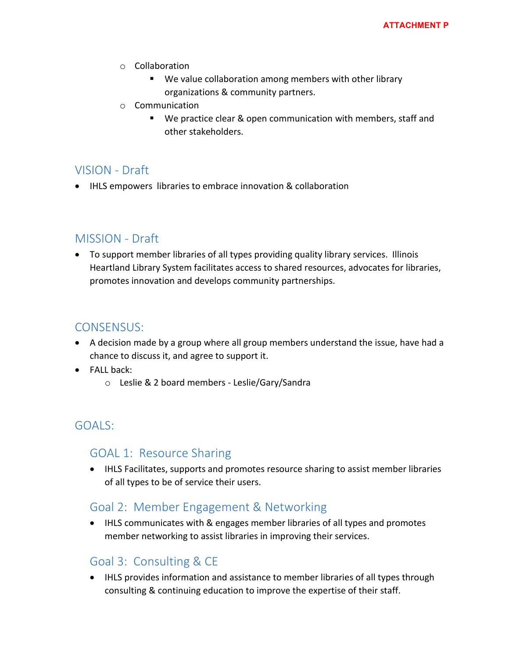- o Collaboration
	- We value collaboration among members with other library organizations & community partners.
- o Communication
	- We practice clear & open communication with members, staff and other stakeholders.

# VISION - Draft

IHLS empowers libraries to embrace innovation & collaboration

## MISSION - Draft

 To support member libraries of all types providing quality library services. Illinois Heartland Library System facilitates access to shared resources, advocates for libraries, promotes innovation and develops community partnerships.

## CONSENSUS:

- A decision made by a group where all group members understand the issue, have had a chance to discuss it, and agree to support it.
- $\bullet$  FALL back:
	- o Leslie & 2 board members Leslie/Gary/Sandra

# GOALS:

### GOAL 1: Resource Sharing

 IHLS Facilitates, supports and promotes resource sharing to assist member libraries of all types to be of service their users.

## Goal 2: Member Engagement & Networking

• IHLS communicates with & engages member libraries of all types and promotes member networking to assist libraries in improving their services.

## Goal 3: Consulting & CE

• IHLS provides information and assistance to member libraries of all types through consulting & continuing education to improve the expertise of their staff.